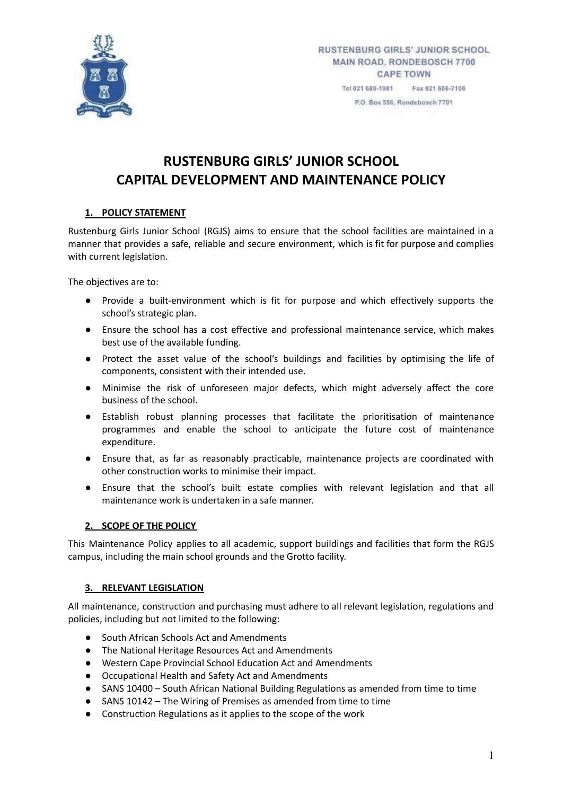

# **RUSTENBURG GIRLS' JUNIOR SCHOOL CAPITAL DEVELOPMENT AND MAINTENANCE POLICY**

## **1. POLICY STATEMENT**

Rustenburg Girls Junior School (RGJS) aims to ensure that the school facilities are maintained in a manner that provides a safe, reliable and secure environment, which is fit for purpose and complies with current legislation.

The objectives are to:

- Provide a built-environment which is fit for purpose and which effectively supports the school's strategic plan.
- Ensure the school has a cost effective and professional maintenance service, which makes best use of the available funding.
- Protect the asset value of the school's buildings and facilities by optimising the life of components, consistent with their intended use.
- Minimise the risk of unforeseen major defects, which might adversely affect the core business of the school.
- Establish robust planning processes that facilitate the prioritisation of maintenance programmes and enable the school to anticipate the future cost of maintenance expenditure.
- Ensure that, as far as reasonably practicable, maintenance projects are coordinated with other construction works to minimise their impact.
- Ensure that the school's built estate complies with relevant legislation and that all maintenance work is undertaken in a safe manner.

## **2. SCOPE OF THE POLICY**

This Maintenance Policy applies to all academic, support buildings and facilities that form the RGJS campus, including the main school grounds and the Grotto facility.

## **3. RELEVANT LEGISLATION**

All maintenance, construction and purchasing must adhere to all relevant legislation, regulations and policies, including but not limited to the following:

- South African Schools Act and Amendments
- The National Heritage Resources Act and Amendments
- Western Cape Provincial School Education Act and Amendments
- Occupational Health and Safety Act and Amendments
- SANS 10400 South African National Building Regulations as amended from time to time
- SANS 10142 The Wiring of Premises as amended from time to time
- Construction Regulations as it applies to the scope of the work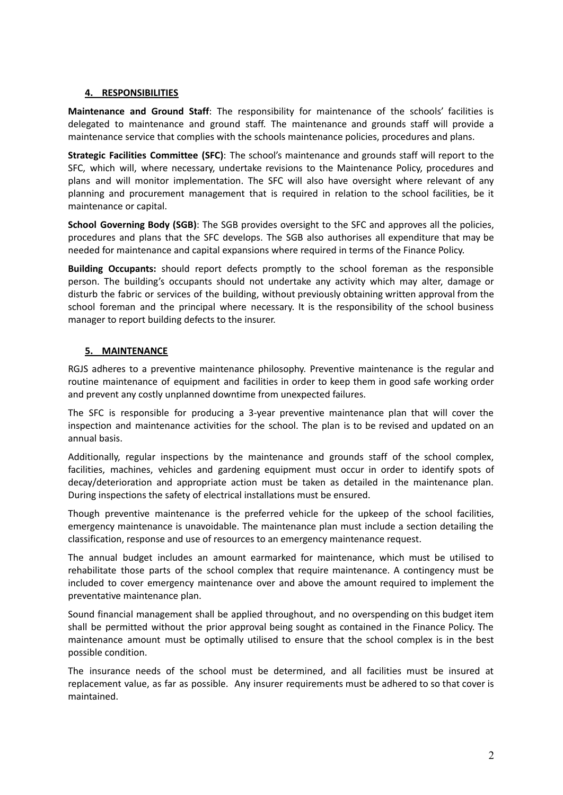#### **4. RESPONSIBILITIES**

**Maintenance and Ground Staff**: The responsibility for maintenance of the schools' facilities is delegated to maintenance and ground staff. The maintenance and grounds staff will provide a maintenance service that complies with the schools maintenance policies, procedures and plans.

**Strategic Facilities Committee (SFC)**: The school's maintenance and grounds staff will report to the SFC, which will, where necessary, undertake revisions to the Maintenance Policy, procedures and plans and will monitor implementation. The SFC will also have oversight where relevant of any planning and procurement management that is required in relation to the school facilities, be it maintenance or capital.

**School Governing Body (SGB)**: The SGB provides oversight to the SFC and approves all the policies, procedures and plans that the SFC develops. The SGB also authorises all expenditure that may be needed for maintenance and capital expansions where required in terms of the Finance Policy.

**Building Occupants:** should report defects promptly to the school foreman as the responsible person. The building's occupants should not undertake any activity which may alter, damage or disturb the fabric or services of the building, without previously obtaining written approval from the school foreman and the principal where necessary. It is the responsibility of the school business manager to report building defects to the insurer.

#### **5. MAINTENANCE**

RGJS adheres to a preventive maintenance philosophy. Preventive maintenance is the regular and routine maintenance of equipment and facilities in order to keep them in good safe working order and prevent any costly unplanned downtime from unexpected failures.

The SFC is responsible for producing a 3-year preventive maintenance plan that will cover the inspection and maintenance activities for the school. The plan is to be revised and updated on an annual basis.

Additionally, regular inspections by the maintenance and grounds staff of the school complex, facilities, machines, vehicles and gardening equipment must occur in order to identify spots of decay/deterioration and appropriate action must be taken as detailed in the maintenance plan. During inspections the safety of electrical installations must be ensured.

Though preventive maintenance is the preferred vehicle for the upkeep of the school facilities, emergency maintenance is unavoidable. The maintenance plan must include a section detailing the classification, response and use of resources to an emergency maintenance request.

The annual budget includes an amount earmarked for maintenance, which must be utilised to rehabilitate those parts of the school complex that require maintenance. A contingency must be included to cover emergency maintenance over and above the amount required to implement the preventative maintenance plan.

Sound financial management shall be applied throughout, and no overspending on this budget item shall be permitted without the prior approval being sought as contained in the Finance Policy. The maintenance amount must be optimally utilised to ensure that the school complex is in the best possible condition.

The insurance needs of the school must be determined, and all facilities must be insured at replacement value, as far as possible. Any insurer requirements must be adhered to so that cover is maintained.